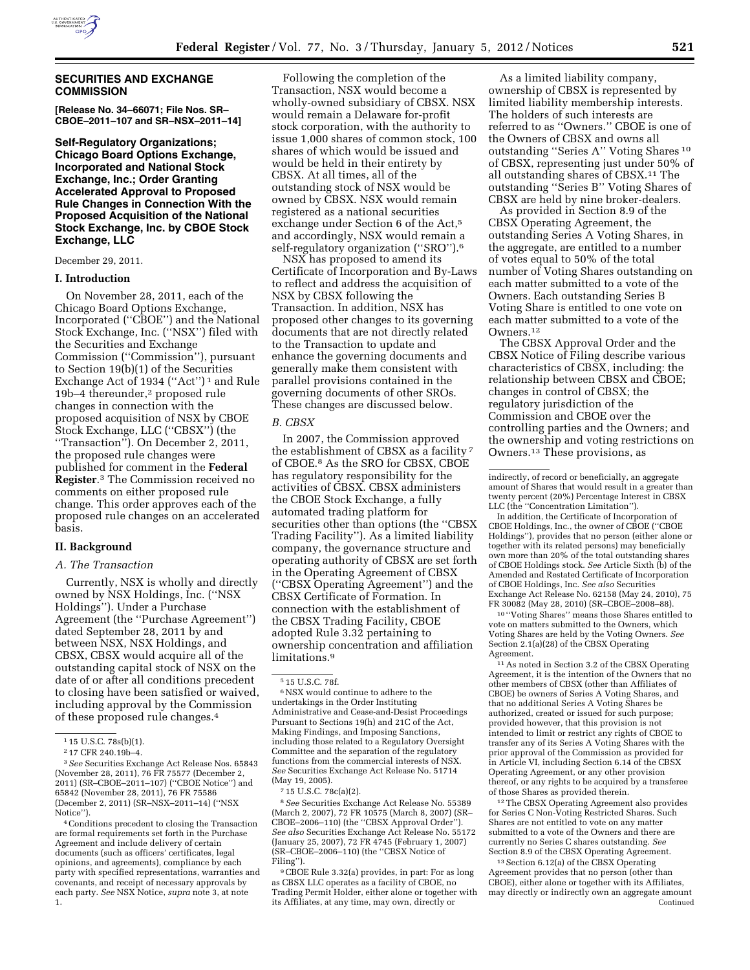

# **SECURITIES AND EXCHANGE COMMISSION**

**[Release No. 34–66071; File Nos. SR– CBOE–2011–107 and SR–NSX–2011–14]** 

**Self-Regulatory Organizations; Chicago Board Options Exchange, Incorporated and National Stock Exchange, Inc.; Order Granting Accelerated Approval to Proposed Rule Changes in Connection With the Proposed Acquisition of the National Stock Exchange, Inc. by CBOE Stock Exchange, LLC** 

December 29, 2011.

### **I. Introduction**

On November 28, 2011, each of the Chicago Board Options Exchange, Incorporated (''CBOE'') and the National Stock Exchange, Inc. (''NSX'') filed with the Securities and Exchange Commission (''Commission''), pursuant to Section 19(b)(1) of the Securities Exchange Act of 1934 ("Act")<sup>1</sup> and Rule 19b–4 thereunder,2 proposed rule changes in connection with the proposed acquisition of NSX by CBOE Stock Exchange, LLC (''CBSX'') (the ''Transaction''). On December 2, 2011, the proposed rule changes were published for comment in the **Federal Register**.3 The Commission received no comments on either proposed rule change. This order approves each of the proposed rule changes on an accelerated basis.

# **II. Background**

# *A. The Transaction*

Currently, NSX is wholly and directly owned by NSX Holdings, Inc. (''NSX Holdings''). Under a Purchase Agreement (the ''Purchase Agreement'') dated September 28, 2011 by and between NSX, NSX Holdings, and CBSX, CBSX would acquire all of the outstanding capital stock of NSX on the date of or after all conditions precedent to closing have been satisfied or waived, including approval by the Commission of these proposed rule changes.4

4Conditions precedent to closing the Transaction are formal requirements set forth in the Purchase Agreement and include delivery of certain documents (such as officers' certificates, legal opinions, and agreements), compliance by each party with specified representations, warranties and covenants, and receipt of necessary approvals by each party. *See* NSX Notice, *supra* note 3, at note 1.

Following the completion of the Transaction, NSX would become a wholly-owned subsidiary of CBSX. NSX would remain a Delaware for-profit stock corporation, with the authority to issue 1,000 shares of common stock, 100 shares of which would be issued and would be held in their entirety by CBSX. At all times, all of the outstanding stock of NSX would be owned by CBSX. NSX would remain registered as a national securities exchange under Section 6 of the Act,5 and accordingly, NSX would remain a self-regulatory organization ("SRO").<sup>6</sup>

NSX has proposed to amend its Certificate of Incorporation and By-Laws to reflect and address the acquisition of NSX by CBSX following the Transaction. In addition, NSX has proposed other changes to its governing documents that are not directly related to the Transaction to update and enhance the governing documents and generally make them consistent with parallel provisions contained in the governing documents of other SROs. These changes are discussed below.

### *B. CBSX*

In 2007, the Commission approved the establishment of CBSX as a facility 7 of CBOE.8 As the SRO for CBSX, CBOE has regulatory responsibility for the activities of CBSX. CBSX administers the CBOE Stock Exchange, a fully automated trading platform for securities other than options (the ''CBSX Trading Facility''). As a limited liability company, the governance structure and operating authority of CBSX are set forth in the Operating Agreement of CBSX (''CBSX Operating Agreement'') and the CBSX Certificate of Formation. In connection with the establishment of the CBSX Trading Facility, CBOE adopted Rule 3.32 pertaining to ownership concentration and affiliation limitations.9

6NSX would continue to adhere to the undertakings in the Order Instituting Administrative and Cease-and-Desist Proceedings Pursuant to Sections 19(h) and 21C of the Act, Making Findings, and Imposing Sanctions, including those related to a Regulatory Oversight Committee and the separation of the regulatory functions from the commercial interests of NSX. *See* Securities Exchange Act Release No. 51714 (May 19, 2005).

8*See* Securities Exchange Act Release No. 55389 (March 2, 2007), 72 FR 10575 (March 8, 2007) (SR– CBOE–2006–110) (the ''CBSX Approval Order''). *See also* Securities Exchange Act Release No. 55172 (January 25, 2007), 72 FR 4745 (February 1, 2007) (SR–CBOE–2006–110) (the ''CBSX Notice of Filing'').

9CBOE Rule 3.32(a) provides, in part: For as long as CBSX LLC operates as a facility of CBOE, no Trading Permit Holder, either alone or together with its Affiliates, at any time, may own, directly or

As a limited liability company, ownership of CBSX is represented by limited liability membership interests. The holders of such interests are referred to as ''Owners.'' CBOE is one of the Owners of CBSX and owns all outstanding ''Series A'' Voting Shares 10 of CBSX, representing just under 50% of all outstanding shares of CBSX.11 The outstanding ''Series B'' Voting Shares of CBSX are held by nine broker-dealers.

As provided in Section 8.9 of the CBSX Operating Agreement, the outstanding Series A Voting Shares, in the aggregate, are entitled to a number of votes equal to 50% of the total number of Voting Shares outstanding on each matter submitted to a vote of the Owners. Each outstanding Series B Voting Share is entitled to one vote on each matter submitted to a vote of the Owners.12

The CBSX Approval Order and the CBSX Notice of Filing describe various characteristics of CBSX, including: the relationship between CBSX and CBOE; changes in control of CBSX; the regulatory jurisdiction of the Commission and CBOE over the controlling parties and the Owners; and the ownership and voting restrictions on Owners.13 These provisions, as

In addition, the Certificate of Incorporation of CBOE Holdings, Inc., the owner of CBOE (''CBOE Holdings''), provides that no person (either alone or together with its related persons) may beneficially own more than 20% of the total outstanding shares of CBOE Holdings stock. *See* Article Sixth (b) of the Amended and Restated Certificate of Incorporation of CBOE Holdings, Inc. *See also* Securities Exchange Act Release No. 62158 (May 24, 2010), 75 FR 30082 (May 28, 2010) (SR–CBOE–2008–88).

10 ''Voting Shares'' means those Shares entitled to vote on matters submitted to the Owners, which Voting Shares are held by the Voting Owners. *See*  Section 2.1(a)(28) of the CBSX Operating Agreement.

11As noted in Section 3.2 of the CBSX Operating Agreement, it is the intention of the Owners that no other members of CBSX (other than Affiliates of CBOE) be owners of Series A Voting Shares, and that no additional Series A Voting Shares be authorized, created or issued for such purpose; provided however, that this provision is not intended to limit or restrict any rights of CBOE to transfer any of its Series A Voting Shares with the prior approval of the Commission as provided for in Article VI, including Section 6.14 of the CBSX Operating Agreement, or any other provision thereof, or any rights to be acquired by a transferee of those Shares as provided therein.

12The CBSX Operating Agreement also provides for Series C Non-Voting Restricted Shares. Such Shares are not entitled to vote on any matter submitted to a vote of the Owners and there are currently no Series C shares outstanding. *See*  Section 8.9 of the CBSX Operating Agreement.

13Section 6.12(a) of the CBSX Operating Agreement provides that no person (other than CBOE), either alone or together with its Affiliates, may directly or indirectly own an aggregate amount Continued

<sup>1</sup> 15 U.S.C. 78s(b)(1).

<sup>2</sup> 17 CFR 240.19b–4.

<sup>3</sup>*See* Securities Exchange Act Release Nos. 65843 (November 28, 2011), 76 FR 75577 (December 2, 2011) (SR–CBOE–2011–107) (''CBOE Notice'') and 65842 (November 28, 2011), 76 FR 75586 (December 2, 2011) (SR–NSX–2011–14) (''NSX Notice'').

<sup>5</sup> 15 U.S.C. 78f.

<sup>7</sup> 15 U.S.C. 78c(a)(2).

indirectly, of record or beneficially, an aggregate amount of Shares that would result in a greater than twenty percent (20%) Percentage Interest in CBSX LLC (the ''Concentration Limitation'').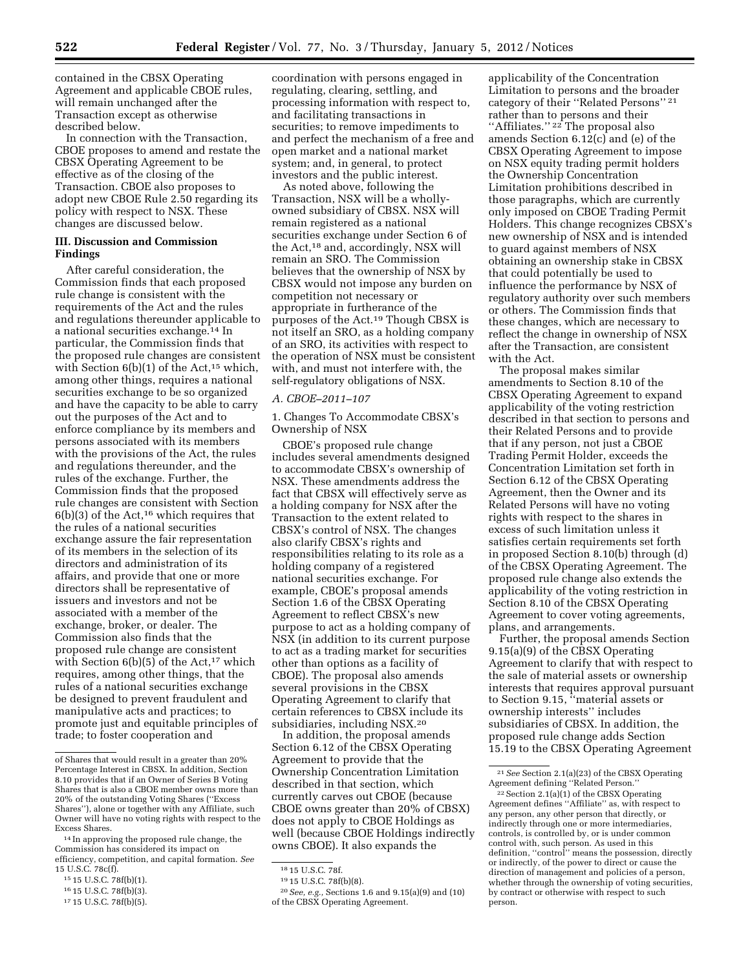contained in the CBSX Operating Agreement and applicable CBOE rules, will remain unchanged after the Transaction except as otherwise described below.

In connection with the Transaction, CBOE proposes to amend and restate the CBSX Operating Agreement to be effective as of the closing of the Transaction. CBOE also proposes to adopt new CBOE Rule 2.50 regarding its policy with respect to NSX. These changes are discussed below.

# **III. Discussion and Commission Findings**

After careful consideration, the Commission finds that each proposed rule change is consistent with the requirements of the Act and the rules and regulations thereunder applicable to a national securities exchange.14 In particular, the Commission finds that the proposed rule changes are consistent with Section  $6(b)(1)$  of the Act,<sup>15</sup> which, among other things, requires a national securities exchange to be so organized and have the capacity to be able to carry out the purposes of the Act and to enforce compliance by its members and persons associated with its members with the provisions of the Act, the rules and regulations thereunder, and the rules of the exchange. Further, the Commission finds that the proposed rule changes are consistent with Section  $6(b)(3)$  of the Act,<sup>16</sup> which requires that the rules of a national securities exchange assure the fair representation of its members in the selection of its directors and administration of its affairs, and provide that one or more directors shall be representative of issuers and investors and not be associated with a member of the exchange, broker, or dealer. The Commission also finds that the proposed rule change are consistent with Section  $6(b)(5)$  of the Act,<sup>17</sup> which requires, among other things, that the rules of a national securities exchange be designed to prevent fraudulent and manipulative acts and practices; to promote just and equitable principles of trade; to foster cooperation and

coordination with persons engaged in regulating, clearing, settling, and processing information with respect to, and facilitating transactions in securities; to remove impediments to and perfect the mechanism of a free and open market and a national market system; and, in general, to protect investors and the public interest.

As noted above, following the Transaction, NSX will be a whollyowned subsidiary of CBSX. NSX will remain registered as a national securities exchange under Section 6 of the Act,18 and, accordingly, NSX will remain an SRO. The Commission believes that the ownership of NSX by CBSX would not impose any burden on competition not necessary or appropriate in furtherance of the purposes of the Act.19 Though CBSX is not itself an SRO, as a holding company of an SRO, its activities with respect to the operation of NSX must be consistent with, and must not interfere with, the self-regulatory obligations of NSX.

### *A. CBOE–2011–107*

1. Changes To Accommodate CBSX's Ownership of NSX

CBOE's proposed rule change includes several amendments designed to accommodate CBSX's ownership of NSX. These amendments address the fact that CBSX will effectively serve as a holding company for NSX after the Transaction to the extent related to CBSX's control of NSX. The changes also clarify CBSX's rights and responsibilities relating to its role as a holding company of a registered national securities exchange. For example, CBOE's proposal amends Section 1.6 of the CBSX Operating Agreement to reflect CBSX's new purpose to act as a holding company of NSX (in addition to its current purpose to act as a trading market for securities other than options as a facility of CBOE). The proposal also amends several provisions in the CBSX Operating Agreement to clarify that certain references to CBSX include its subsidiaries, including NSX.20

In addition, the proposal amends Section 6.12 of the CBSX Operating Agreement to provide that the Ownership Concentration Limitation described in that section, which currently carves out CBOE (because CBOE owns greater than 20% of CBSX) does not apply to CBOE Holdings as well (because CBOE Holdings indirectly owns CBOE). It also expands the

20*See, e.g.,* Sections 1.6 and 9.15(a)(9) and (10) of the CBSX Operating Agreement.

applicability of the Concentration Limitation to persons and the broader category of their ''Related Persons'' 21 rather than to persons and their "Affiliates."<sup>22</sup> The proposal also amends Section 6.12(c) and (e) of the CBSX Operating Agreement to impose on NSX equity trading permit holders the Ownership Concentration Limitation prohibitions described in those paragraphs, which are currently only imposed on CBOE Trading Permit Holders. This change recognizes CBSX's new ownership of NSX and is intended to guard against members of NSX obtaining an ownership stake in CBSX that could potentially be used to influence the performance by NSX of regulatory authority over such members or others. The Commission finds that these changes, which are necessary to reflect the change in ownership of NSX after the Transaction, are consistent with the Act.

The proposal makes similar amendments to Section 8.10 of the CBSX Operating Agreement to expand applicability of the voting restriction described in that section to persons and their Related Persons and to provide that if any person, not just a CBOE Trading Permit Holder, exceeds the Concentration Limitation set forth in Section 6.12 of the CBSX Operating Agreement, then the Owner and its Related Persons will have no voting rights with respect to the shares in excess of such limitation unless it satisfies certain requirements set forth in proposed Section 8.10(b) through (d) of the CBSX Operating Agreement. The proposed rule change also extends the applicability of the voting restriction in Section 8.10 of the CBSX Operating Agreement to cover voting agreements, plans, and arrangements.

Further, the proposal amends Section 9.15(a)(9) of the CBSX Operating Agreement to clarify that with respect to the sale of material assets or ownership interests that requires approval pursuant to Section 9.15, ''material assets or ownership interests'' includes subsidiaries of CBSX. In addition, the proposed rule change adds Section 15.19 to the CBSX Operating Agreement

of Shares that would result in a greater than 20% Percentage Interest in CBSX. In addition, Section 8.10 provides that if an Owner of Series B Voting Shares that is also a CBOE member owns more than 20% of the outstanding Voting Shares (''Excess Shares''), alone or together with any Affiliate, such Owner will have no voting rights with respect to the Excess Shares.

<sup>14</sup> In approving the proposed rule change, the Commission has considered its impact on efficiency, competition, and capital formation. *See*  15 U.S.C. 78c(f).

<sup>15</sup> 15 U.S.C. 78f(b)(1).

<sup>16</sup> 15 U.S.C. 78f(b)(3).

<sup>17</sup> 15 U.S.C. 78f(b)(5).

<sup>18</sup> 15 U.S.C. 78f.

<sup>19</sup> 15 U.S.C. 78f(b)(8).

<sup>21</sup>*See* Section 2.1(a)(23) of the CBSX Operating Agreement defining ''Related Person.''

<sup>22</sup>Section 2.1(a)(1) of the CBSX Operating Agreement defines ''Affiliate'' as, with respect to any person, any other person that directly, or indirectly through one or more intermediaries, controls, is controlled by, or is under common control with, such person. As used in this definition, "control" means the possession, directly or indirectly, of the power to direct or cause the direction of management and policies of a person, whether through the ownership of voting securities, by contract or otherwise with respect to such person.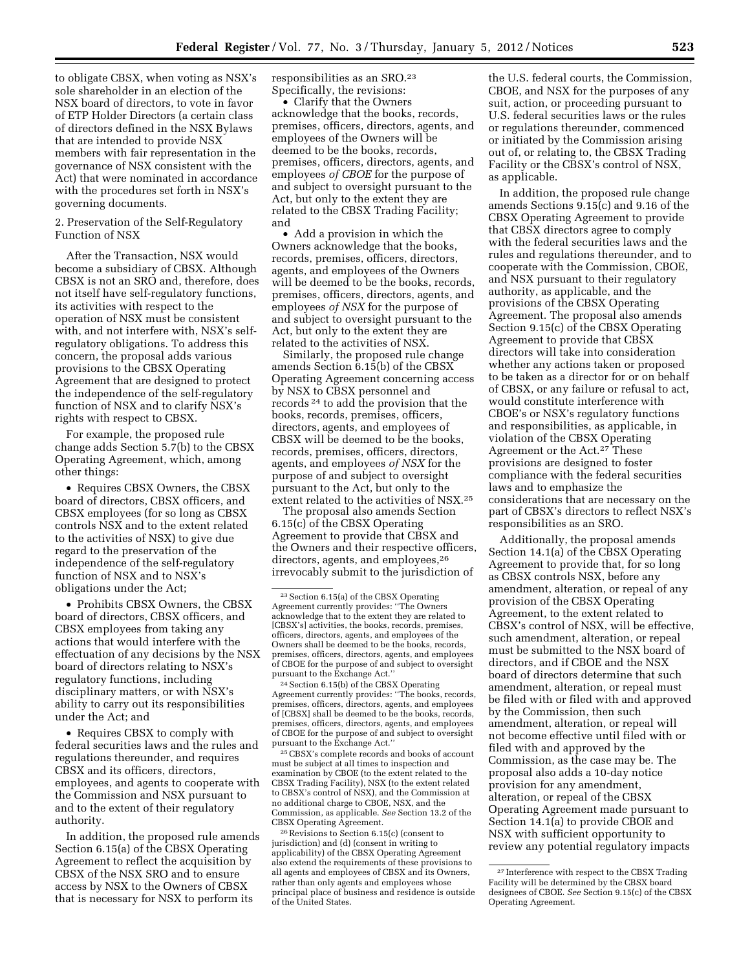to obligate CBSX, when voting as NSX's sole shareholder in an election of the NSX board of directors, to vote in favor of ETP Holder Directors (a certain class of directors defined in the NSX Bylaws that are intended to provide NSX members with fair representation in the governance of NSX consistent with the Act) that were nominated in accordance with the procedures set forth in NSX's governing documents.

# 2. Preservation of the Self-Regulatory Function of NSX

After the Transaction, NSX would become a subsidiary of CBSX. Although CBSX is not an SRO and, therefore, does not itself have self-regulatory functions, its activities with respect to the operation of NSX must be consistent with, and not interfere with, NSX's selfregulatory obligations. To address this concern, the proposal adds various provisions to the CBSX Operating Agreement that are designed to protect the independence of the self-regulatory function of NSX and to clarify NSX's rights with respect to CBSX.

For example, the proposed rule change adds Section 5.7(b) to the CBSX Operating Agreement, which, among other things:

• Requires CBSX Owners, the CBSX board of directors, CBSX officers, and CBSX employees (for so long as CBSX controls NSX and to the extent related to the activities of NSX) to give due regard to the preservation of the independence of the self-regulatory function of NSX and to NSX's obligations under the Act;

• Prohibits CBSX Owners, the CBSX board of directors, CBSX officers, and CBSX employees from taking any actions that would interfere with the effectuation of any decisions by the NSX board of directors relating to NSX's regulatory functions, including disciplinary matters, or with NSX's ability to carry out its responsibilities under the Act; and

• Requires CBSX to comply with federal securities laws and the rules and regulations thereunder, and requires CBSX and its officers, directors, employees, and agents to cooperate with the Commission and NSX pursuant to and to the extent of their regulatory authority.

In addition, the proposed rule amends Section 6.15(a) of the CBSX Operating Agreement to reflect the acquisition by CBSX of the NSX SRO and to ensure access by NSX to the Owners of CBSX that is necessary for NSX to perform its

responsibilities as an SRO.23 Specifically, the revisions:

• Clarify that the Owners acknowledge that the books, records, premises, officers, directors, agents, and employees of the Owners will be deemed to be the books, records, premises, officers, directors, agents, and employees *of CBOE* for the purpose of and subject to oversight pursuant to the Act, but only to the extent they are related to the CBSX Trading Facility; and

• Add a provision in which the Owners acknowledge that the books, records, premises, officers, directors, agents, and employees of the Owners will be deemed to be the books, records, premises, officers, directors, agents, and employees *of NSX* for the purpose of and subject to oversight pursuant to the Act, but only to the extent they are related to the activities of NSX.

Similarly, the proposed rule change amends Section 6.15(b) of the CBSX Operating Agreement concerning access by NSX to CBSX personnel and records 24 to add the provision that the books, records, premises, officers, directors, agents, and employees of CBSX will be deemed to be the books, records, premises, officers, directors, agents, and employees *of NSX* for the purpose of and subject to oversight pursuant to the Act, but only to the extent related to the activities of NSX.25

The proposal also amends Section 6.15(c) of the CBSX Operating Agreement to provide that CBSX and the Owners and their respective officers, directors, agents, and employees,26 irrevocably submit to the jurisdiction of

25CBSX's complete records and books of account must be subject at all times to inspection and examination by CBOE (to the extent related to the CBSX Trading Facility), NSX (to the extent related to CBSX's control of NSX), and the Commission at no additional charge to CBOE, NSX, and the Commission, as applicable. *See* Section 13.2 of the CBSX Operating Agreement.

26Revisions to Section 6.15(c) (consent to jurisdiction) and (d) (consent in writing to applicability) of the CBSX Operating Agreement also extend the requirements of these provisions to all agents and employees of CBSX and its Owners, rather than only agents and employees whose principal place of business and residence is outside of the United States.

the U.S. federal courts, the Commission, CBOE, and NSX for the purposes of any suit, action, or proceeding pursuant to U.S. federal securities laws or the rules or regulations thereunder, commenced or initiated by the Commission arising out of, or relating to, the CBSX Trading Facility or the CBSX's control of NSX, as applicable.

In addition, the proposed rule change amends Sections 9.15(c) and 9.16 of the CBSX Operating Agreement to provide that CBSX directors agree to comply with the federal securities laws and the rules and regulations thereunder, and to cooperate with the Commission, CBOE, and NSX pursuant to their regulatory authority, as applicable, and the provisions of the CBSX Operating Agreement. The proposal also amends Section 9.15(c) of the CBSX Operating Agreement to provide that CBSX directors will take into consideration whether any actions taken or proposed to be taken as a director for or on behalf of CBSX, or any failure or refusal to act, would constitute interference with CBOE's or NSX's regulatory functions and responsibilities, as applicable, in violation of the CBSX Operating Agreement or the Act.27 These provisions are designed to foster compliance with the federal securities laws and to emphasize the considerations that are necessary on the part of CBSX's directors to reflect NSX's responsibilities as an SRO.

Additionally, the proposal amends Section 14.1(a) of the CBSX Operating Agreement to provide that, for so long as CBSX controls NSX, before any amendment, alteration, or repeal of any provision of the CBSX Operating Agreement, to the extent related to CBSX's control of NSX, will be effective, such amendment, alteration, or repeal must be submitted to the NSX board of directors, and if CBOE and the NSX board of directors determine that such amendment, alteration, or repeal must be filed with or filed with and approved by the Commission, then such amendment, alteration, or repeal will not become effective until filed with or filed with and approved by the Commission, as the case may be. The proposal also adds a 10-day notice provision for any amendment, alteration, or repeal of the CBSX Operating Agreement made pursuant to Section 14.1(a) to provide CBOE and NSX with sufficient opportunity to review any potential regulatory impacts

<sup>23</sup>Section 6.15(a) of the CBSX Operating Agreement currently provides: ''The Owners acknowledge that to the extent they are related to [CBSX's] activities, the books, records, premises. officers, directors, agents, and employees of the Owners shall be deemed to be the books, records, premises, officers, directors, agents, and employees of CBOE for the purpose of and subject to oversight pursuant to the Exchange Act.''

<sup>24</sup>Section 6.15(b) of the CBSX Operating Agreement currently provides: ''The books, records, premises, officers, directors, agents, and employees of [CBSX] shall be deemed to be the books, records, premises, officers, directors, agents, and employees of CBOE for the purpose of and subject to oversight pursuant to the Exchange Act.''

<sup>27</sup> Interference with respect to the CBSX Trading Facility will be determined by the CBSX board designees of CBOE. *See* Section 9.15(c) of the CBSX Operating Agreement.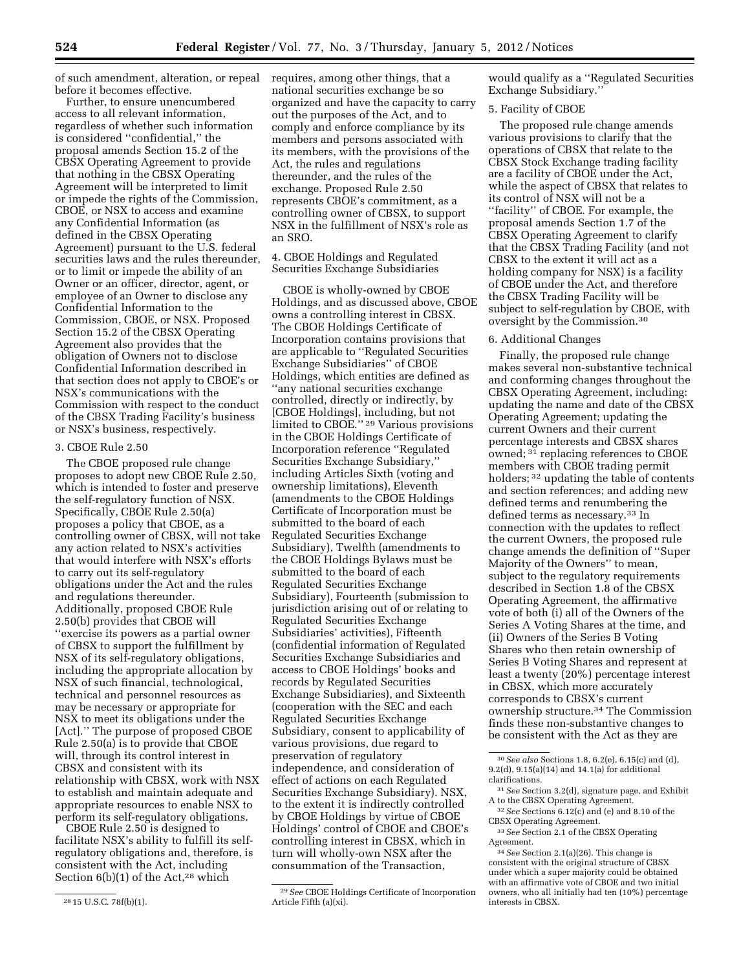of such amendment, alteration, or repeal before it becomes effective.

Further, to ensure unencumbered access to all relevant information, regardless of whether such information is considered ''confidential,'' the proposal amends Section 15.2 of the CBSX Operating Agreement to provide that nothing in the CBSX Operating Agreement will be interpreted to limit or impede the rights of the Commission, CBOE, or NSX to access and examine any Confidential Information (as defined in the CBSX Operating Agreement) pursuant to the U.S. federal securities laws and the rules thereunder, or to limit or impede the ability of an Owner or an officer, director, agent, or employee of an Owner to disclose any Confidential Information to the Commission, CBOE, or NSX. Proposed Section 15.2 of the CBSX Operating Agreement also provides that the obligation of Owners not to disclose Confidential Information described in that section does not apply to CBOE's or NSX's communications with the Commission with respect to the conduct of the CBSX Trading Facility's business or NSX's business, respectively.

#### 3. CBOE Rule 2.50

The CBOE proposed rule change proposes to adopt new CBOE Rule 2.50, which is intended to foster and preserve the self-regulatory function of NSX. Specifically, CBOE Rule 2.50(a) proposes a policy that CBOE, as a controlling owner of CBSX, will not take any action related to NSX's activities that would interfere with NSX's efforts to carry out its self-regulatory obligations under the Act and the rules and regulations thereunder. Additionally, proposed CBOE Rule 2.50(b) provides that CBOE will ''exercise its powers as a partial owner of CBSX to support the fulfillment by NSX of its self-regulatory obligations, including the appropriate allocation by NSX of such financial, technological, technical and personnel resources as may be necessary or appropriate for NSX to meet its obligations under the [Act].'' The purpose of proposed CBOE Rule 2.50(a) is to provide that CBOE will, through its control interest in CBSX and consistent with its relationship with CBSX, work with NSX to establish and maintain adequate and appropriate resources to enable NSX to perform its self-regulatory obligations.

CBOE Rule 2.50 is designed to facilitate NSX's ability to fulfill its selfregulatory obligations and, therefore, is consistent with the Act, including Section  $6(b)(1)$  of the Act,<sup>28</sup> which

requires, among other things, that a national securities exchange be so organized and have the capacity to carry out the purposes of the Act, and to comply and enforce compliance by its members and persons associated with its members, with the provisions of the Act, the rules and regulations thereunder, and the rules of the exchange. Proposed Rule 2.50 represents CBOE's commitment, as a controlling owner of CBSX, to support NSX in the fulfillment of NSX's role as an SRO.

4. CBOE Holdings and Regulated Securities Exchange Subsidiaries

CBOE is wholly-owned by CBOE Holdings, and as discussed above, CBOE owns a controlling interest in CBSX. The CBOE Holdings Certificate of Incorporation contains provisions that are applicable to ''Regulated Securities Exchange Subsidiaries'' of CBOE Holdings, which entities are defined as ''any national securities exchange controlled, directly or indirectly, by [CBOE Holdings], including, but not limited to CBOE."<sup>29</sup> Various provisions in the CBOE Holdings Certificate of Incorporation reference ''Regulated Securities Exchange Subsidiary,'' including Articles Sixth (voting and ownership limitations), Eleventh (amendments to the CBOE Holdings Certificate of Incorporation must be submitted to the board of each Regulated Securities Exchange Subsidiary), Twelfth (amendments to the CBOE Holdings Bylaws must be submitted to the board of each Regulated Securities Exchange Subsidiary), Fourteenth (submission to jurisdiction arising out of or relating to Regulated Securities Exchange Subsidiaries' activities), Fifteenth (confidential information of Regulated Securities Exchange Subsidiaries and access to CBOE Holdings' books and records by Regulated Securities Exchange Subsidiaries), and Sixteenth (cooperation with the SEC and each Regulated Securities Exchange Subsidiary, consent to applicability of various provisions, due regard to preservation of regulatory independence, and consideration of effect of actions on each Regulated Securities Exchange Subsidiary). NSX, to the extent it is indirectly controlled by CBOE Holdings by virtue of CBOE Holdings' control of CBOE and CBOE's controlling interest in CBSX, which in turn will wholly-own NSX after the consummation of the Transaction,

would qualify as a ''Regulated Securities Exchange Subsidiary.''

## 5. Facility of CBOE

The proposed rule change amends various provisions to clarify that the operations of CBSX that relate to the CBSX Stock Exchange trading facility are a facility of CBOE under the Act, while the aspect of CBSX that relates to its control of NSX will not be a ''facility'' of CBOE. For example, the proposal amends Section 1.7 of the CBSX Operating Agreement to clarify that the CBSX Trading Facility (and not CBSX to the extent it will act as a holding company for NSX) is a facility of CBOE under the Act, and therefore the CBSX Trading Facility will be subject to self-regulation by CBOE, with oversight by the Commission.30

# 6. Additional Changes

Finally, the proposed rule change makes several non-substantive technical and conforming changes throughout the CBSX Operating Agreement, including: updating the name and date of the CBSX Operating Agreement; updating the current Owners and their current percentage interests and CBSX shares owned; <sup>31</sup> replacing references to CBOE members with CBOE trading permit holders; 32 updating the table of contents and section references; and adding new defined terms and renumbering the defined terms as necessary.33 In connection with the updates to reflect the current Owners, the proposed rule change amends the definition of ''Super Majority of the Owners'' to mean, subject to the regulatory requirements described in Section 1.8 of the CBSX Operating Agreement, the affirmative vote of both (i) all of the Owners of the Series A Voting Shares at the time, and (ii) Owners of the Series B Voting Shares who then retain ownership of Series B Voting Shares and represent at least a twenty (20%) percentage interest in CBSX, which more accurately corresponds to CBSX's current ownership structure.34 The Commission finds these non-substantive changes to be consistent with the Act as they are

<sup>28</sup> 15 U.S.C. 78f(b)(1).

<sup>29</sup>*See* CBOE Holdings Certificate of Incorporation Article Fifth (a)(xi).

<sup>30</sup>*See also* Sections 1.8, 6.2(e), 6.15(c) and (d), 9.2(d), 9.15(a)(14) and 14.1(a) for additional clarifications.

<sup>31</sup>*See* Section 3.2(d), signature page, and Exhibit A to the CBSX Operating Agreement.

<sup>32</sup>*See* Sections 6.12(c) and (e) and 8.10 of the CBSX Operating Agreement.

<sup>33</sup>*See* Section 2.1 of the CBSX Operating Agreement.

<sup>34</sup>*See* Section 2.1(a)(26). This change is consistent with the original structure of CBSX under which a super majority could be obtained with an affirmative vote of CBOE and two initial owners, who all initially had ten (10%) percentage interests in CBSX.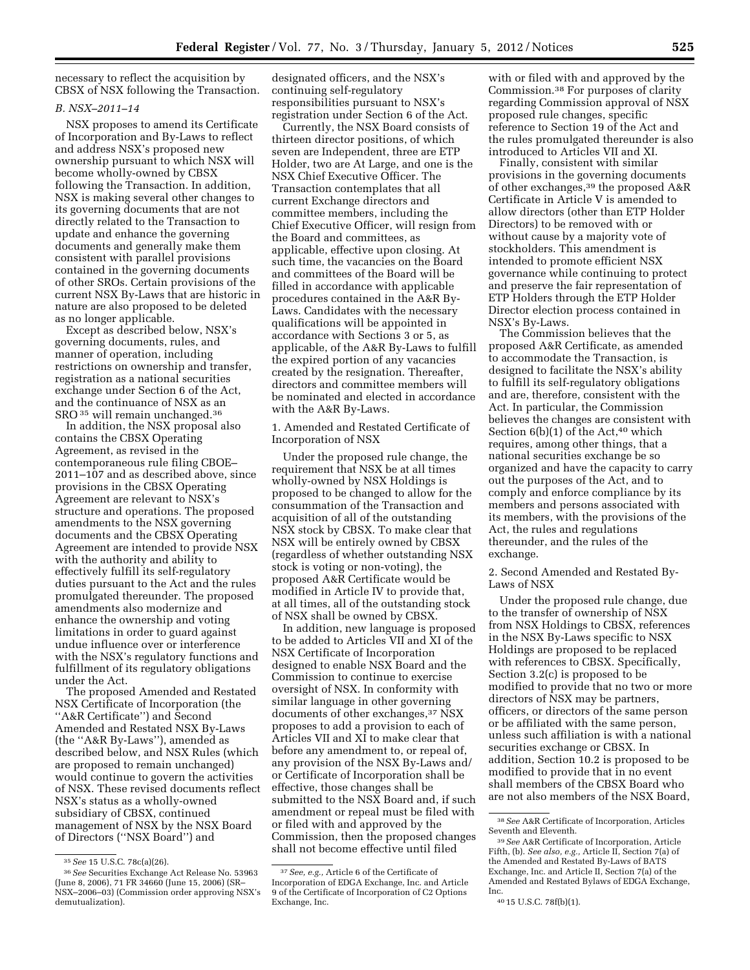necessary to reflect the acquisition by CBSX of NSX following the Transaction.

#### *B. NSX–2011–14*

NSX proposes to amend its Certificate of Incorporation and By-Laws to reflect and address NSX's proposed new ownership pursuant to which NSX will become wholly-owned by CBSX following the Transaction. In addition, NSX is making several other changes to its governing documents that are not directly related to the Transaction to update and enhance the governing documents and generally make them consistent with parallel provisions contained in the governing documents of other SROs. Certain provisions of the current NSX By-Laws that are historic in nature are also proposed to be deleted as no longer applicable.

Except as described below, NSX's governing documents, rules, and manner of operation, including restrictions on ownership and transfer, registration as a national securities exchange under Section 6 of the Act, and the continuance of NSX as an SRO 35 will remain unchanged.36

In addition, the NSX proposal also contains the CBSX Operating Agreement, as revised in the contemporaneous rule filing CBOE– 2011–107 and as described above, since provisions in the CBSX Operating Agreement are relevant to NSX's structure and operations. The proposed amendments to the NSX governing documents and the CBSX Operating Agreement are intended to provide NSX with the authority and ability to effectively fulfill its self-regulatory duties pursuant to the Act and the rules promulgated thereunder. The proposed amendments also modernize and enhance the ownership and voting limitations in order to guard against undue influence over or interference with the NSX's regulatory functions and fulfillment of its regulatory obligations under the Act.

The proposed Amended and Restated NSX Certificate of Incorporation (the ''A&R Certificate'') and Second Amended and Restated NSX By-Laws (the ''A&R By-Laws''), amended as described below, and NSX Rules (which are proposed to remain unchanged) would continue to govern the activities of NSX. These revised documents reflect NSX's status as a wholly-owned subsidiary of CBSX, continued management of NSX by the NSX Board of Directors (''NSX Board'') and

designated officers, and the NSX's continuing self-regulatory responsibilities pursuant to NSX's registration under Section 6 of the Act.

Currently, the NSX Board consists of thirteen director positions, of which seven are Independent, three are ETP Holder, two are At Large, and one is the NSX Chief Executive Officer. The Transaction contemplates that all current Exchange directors and committee members, including the Chief Executive Officer, will resign from the Board and committees, as applicable, effective upon closing. At such time, the vacancies on the Board and committees of the Board will be filled in accordance with applicable procedures contained in the A&R By-Laws. Candidates with the necessary qualifications will be appointed in accordance with Sections 3 or 5, as applicable, of the A&R By-Laws to fulfill the expired portion of any vacancies created by the resignation. Thereafter, directors and committee members will be nominated and elected in accordance with the A&R By-Laws.

1. Amended and Restated Certificate of Incorporation of NSX

Under the proposed rule change, the requirement that NSX be at all times wholly-owned by NSX Holdings is proposed to be changed to allow for the consummation of the Transaction and acquisition of all of the outstanding NSX stock by CBSX. To make clear that NSX will be entirely owned by CBSX (regardless of whether outstanding NSX stock is voting or non-voting), the proposed A&R Certificate would be modified in Article IV to provide that, at all times, all of the outstanding stock of NSX shall be owned by CBSX.

In addition, new language is proposed to be added to Articles VII and XI of the NSX Certificate of Incorporation designed to enable NSX Board and the Commission to continue to exercise oversight of NSX. In conformity with similar language in other governing documents of other exchanges,<sup>37</sup> NSX proposes to add a provision to each of Articles VII and XI to make clear that before any amendment to, or repeal of, any provision of the NSX By-Laws and/ or Certificate of Incorporation shall be effective, those changes shall be submitted to the NSX Board and, if such amendment or repeal must be filed with or filed with and approved by the Commission, then the proposed changes shall not become effective until filed

with or filed with and approved by the Commission.38 For purposes of clarity regarding Commission approval of NSX proposed rule changes, specific reference to Section 19 of the Act and the rules promulgated thereunder is also introduced to Articles VII and XI.

Finally, consistent with similar provisions in the governing documents of other exchanges,39 the proposed A&R Certificate in Article V is amended to allow directors (other than ETP Holder Directors) to be removed with or without cause by a majority vote of stockholders. This amendment is intended to promote efficient NSX governance while continuing to protect and preserve the fair representation of ETP Holders through the ETP Holder Director election process contained in NSX's By-Laws.

The Commission believes that the proposed A&R Certificate, as amended to accommodate the Transaction, is designed to facilitate the NSX's ability to fulfill its self-regulatory obligations and are, therefore, consistent with the Act. In particular, the Commission believes the changes are consistent with Section  $6(b)(1)$  of the Act,<sup>40</sup> which requires, among other things, that a national securities exchange be so organized and have the capacity to carry out the purposes of the Act, and to comply and enforce compliance by its members and persons associated with its members, with the provisions of the Act, the rules and regulations thereunder, and the rules of the exchange.

2. Second Amended and Restated By-Laws of NSX

Under the proposed rule change, due to the transfer of ownership of NSX from NSX Holdings to CBSX, references in the NSX By-Laws specific to NSX Holdings are proposed to be replaced with references to CBSX. Specifically, Section 3.2(c) is proposed to be modified to provide that no two or more directors of NSX may be partners, officers, or directors of the same person or be affiliated with the same person, unless such affiliation is with a national securities exchange or CBSX. In addition, Section 10.2 is proposed to be modified to provide that in no event shall members of the CBSX Board who are not also members of the NSX Board,

<sup>35</sup>*See* 15 U.S.C. 78c(a)(26).

<sup>36</sup>*See* Securities Exchange Act Release No. 53963 (June 8, 2006), 71 FR 34660 (June 15, 2006) (SR– NSX–2006–03) (Commission order approving NSX's demutualization).

<sup>37</sup>*See, e.g.,* Article 6 of the Certificate of Incorporation of EDGA Exchange, Inc. and Article 9 of the Certificate of Incorporation of C2 Options Exchange, Inc.

<sup>38</sup>*See* A&R Certificate of Incorporation, Articles Seventh and Eleventh.

<sup>39</sup>*See* A&R Certificate of Incorporation, Article Fifth, (b). *See also, e.g.,* Article II, Section 7(a) of the Amended and Restated By-Laws of BATS Exchange, Inc. and Article II, Section 7(a) of the Amended and Restated Bylaws of EDGA Exchange, Inc.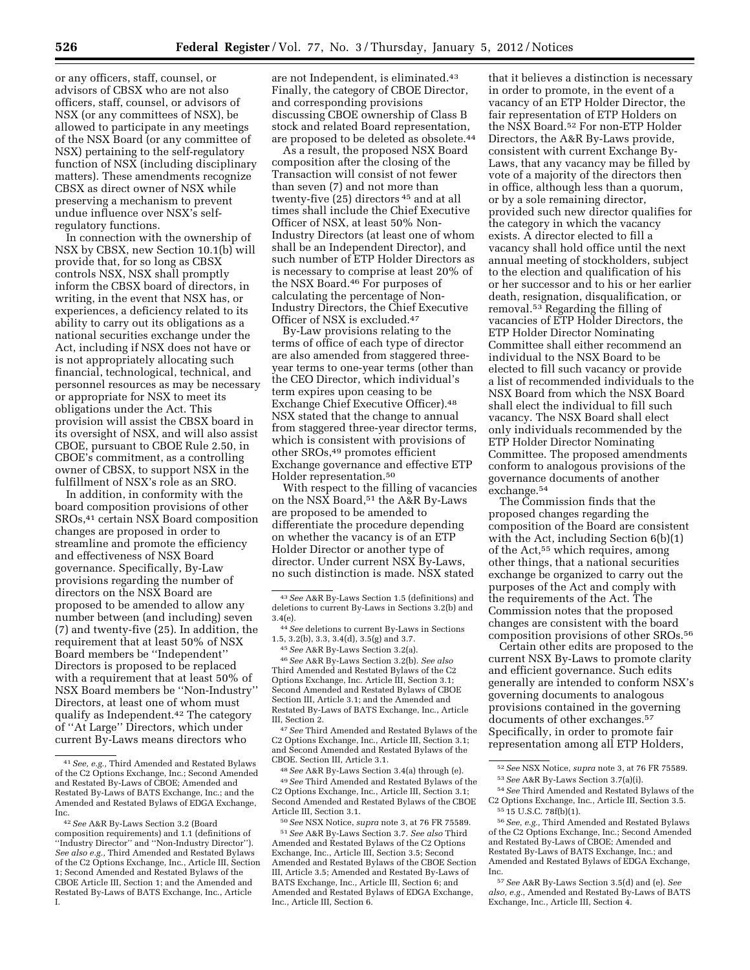or any officers, staff, counsel, or advisors of CBSX who are not also officers, staff, counsel, or advisors of NSX (or any committees of NSX), be allowed to participate in any meetings of the NSX Board (or any committee of NSX) pertaining to the self-regulatory function of NSX (including disciplinary matters). These amendments recognize CBSX as direct owner of NSX while preserving a mechanism to prevent undue influence over NSX's selfregulatory functions.

In connection with the ownership of NSX by CBSX, new Section 10.1(b) will provide that, for so long as CBSX controls NSX, NSX shall promptly inform the CBSX board of directors, in writing, in the event that NSX has, or experiences, a deficiency related to its ability to carry out its obligations as a national securities exchange under the Act, including if NSX does not have or is not appropriately allocating such financial, technological, technical, and personnel resources as may be necessary or appropriate for NSX to meet its obligations under the Act. This provision will assist the CBSX board in its oversight of NSX, and will also assist CBOE, pursuant to CBOE Rule 2.50, in CBOE's commitment, as a controlling owner of CBSX, to support NSX in the fulfillment of NSX's role as an SRO.

In addition, in conformity with the board composition provisions of other SROs,41 certain NSX Board composition changes are proposed in order to streamline and promote the efficiency and effectiveness of NSX Board governance. Specifically, By-Law provisions regarding the number of directors on the NSX Board are proposed to be amended to allow any number between (and including) seven (7) and twenty-five (25). In addition, the requirement that at least 50% of NSX Board members be ''Independent'' Directors is proposed to be replaced with a requirement that at least 50% of NSX Board members be ''Non-Industry'' Directors, at least one of whom must qualify as Independent.42 The category of ''At Large'' Directors, which under current By-Laws means directors who

are not Independent, is eliminated.43 Finally, the category of CBOE Director, and corresponding provisions discussing CBOE ownership of Class B stock and related Board representation, are proposed to be deleted as obsolete.<sup>44</sup>

As a result, the proposed NSX Board composition after the closing of the Transaction will consist of not fewer than seven (7) and not more than twenty-five (25) directors 45 and at all times shall include the Chief Executive Officer of NSX, at least 50% Non-Industry Directors (at least one of whom shall be an Independent Director), and such number of ETP Holder Directors as is necessary to comprise at least 20% of the NSX Board.46 For purposes of calculating the percentage of Non-Industry Directors, the Chief Executive Officer of NSX is excluded.47

By-Law provisions relating to the terms of office of each type of director are also amended from staggered threeyear terms to one-year terms (other than the CEO Director, which individual's term expires upon ceasing to be Exchange Chief Executive Officer).48 NSX stated that the change to annual from staggered three-year director terms, which is consistent with provisions of other SROs,49 promotes efficient Exchange governance and effective ETP Holder representation.50

With respect to the filling of vacancies on the NSX Board,51 the A&R By-Laws are proposed to be amended to differentiate the procedure depending on whether the vacancy is of an ETP Holder Director or another type of director. Under current NSX By-Laws, no such distinction is made. NSX stated

46*See* A&R By-Laws Section 3.2(b). *See also*  Third Amended and Restated Bylaws of the C2 Options Exchange, Inc. Article III, Section 3.1; Second Amended and Restated Bylaws of CBOE Section III, Article 3.1; and the Amended and Restated By-Laws of BATS Exchange, Inc., Article III, Section 2.

47*See* Third Amended and Restated Bylaws of the C2 Options Exchange, Inc., Article III, Section 3.1; and Second Amended and Restated Bylaws of the CBOE. Section III, Article 3.1.

48*See* A&R By-Laws Section 3.4(a) through (e). 49*See* Third Amended and Restated Bylaws of the C2 Options Exchange, Inc., Article III, Section 3.1; Second Amended and Restated Bylaws of the CBOE Article III, Section 3.1.

50*See* NSX Notice, *supra* note 3, at 76 FR 75589. 51*See* A&R By-Laws Section 3.7. *See also* Third Amended and Restated Bylaws of the C2 Options Exchange, Inc., Article III, Section 3.5; Second Amended and Restated Bylaws of the CBOE Section III, Article 3.5; Amended and Restated By-Laws of BATS Exchange, Inc., Article III, Section 6; and Amended and Restated Bylaws of EDGA Exchange, Inc., Article III, Section 6.

that it believes a distinction is necessary in order to promote, in the event of a vacancy of an ETP Holder Director, the fair representation of ETP Holders on the NSX Board.52 For non-ETP Holder Directors, the A&R By-Laws provide, consistent with current Exchange By-Laws, that any vacancy may be filled by vote of a majority of the directors then in office, although less than a quorum, or by a sole remaining director, provided such new director qualifies for the category in which the vacancy exists. A director elected to fill a vacancy shall hold office until the next annual meeting of stockholders, subject to the election and qualification of his or her successor and to his or her earlier death, resignation, disqualification, or removal.53 Regarding the filling of vacancies of ETP Holder Directors, the ETP Holder Director Nominating Committee shall either recommend an individual to the NSX Board to be elected to fill such vacancy or provide a list of recommended individuals to the NSX Board from which the NSX Board shall elect the individual to fill such vacancy. The NSX Board shall elect only individuals recommended by the ETP Holder Director Nominating Committee. The proposed amendments conform to analogous provisions of the governance documents of another exchange.54

The Commission finds that the proposed changes regarding the composition of the Board are consistent with the Act, including Section 6(b)(1) of the Act,55 which requires, among other things, that a national securities exchange be organized to carry out the purposes of the Act and comply with the requirements of the Act. The Commission notes that the proposed changes are consistent with the board composition provisions of other SROs.56

Certain other edits are proposed to the current NSX By-Laws to promote clarity and efficient governance. Such edits generally are intended to conform NSX's governing documents to analogous provisions contained in the governing documents of other exchanges.<sup>57</sup> Specifically, in order to promote fair representation among all ETP Holders,

<sup>41</sup>*See, e.g.,* Third Amended and Restated Bylaws of the C2 Options Exchange, Inc.; Second Amended and Restated By-Laws of CBOE; Amended and Restated By-Laws of BATS Exchange, Inc.; and the Amended and Restated Bylaws of EDGA Exchange, Inc.

<sup>42</sup>*See* A&R By-Laws Section 3.2 (Board composition requirements) and 1.1 (definitions of ''Industry Director'' and ''Non-Industry Director''). *See also e.g.,* Third Amended and Restated Bylaws of the C2 Options Exchange, Inc., Article III, Section 1; Second Amended and Restated Bylaws of the CBOE Article III, Section 1; and the Amended and Restated By-Laws of BATS Exchange, Inc., Article I.

<sup>43</sup>*See* A&R By-Laws Section 1.5 (definitions) and deletions to current By-Laws in Sections 3.2(b) and 3.4(e).

<sup>44</sup>*See* deletions to current By-Laws in Sections 1.5, 3.2(b), 3.3, 3.4(d), 3.5(g) and 3.7.

<sup>45</sup>*See* A&R By-Laws Section 3.2(a).

<sup>52</sup>*See* NSX Notice, *supra* note 3, at 76 FR 75589.

<sup>53</sup>*See* A&R By-Laws Section 3.7(a)(i). 54*See* Third Amended and Restated Bylaws of the

C2 Options Exchange, Inc., Article III, Section 3.5. 55 15 U.S.C. 78f(b)(1).

<sup>56</sup>*See, e.g.,* Third Amended and Restated Bylaws of the C2 Options Exchange, Inc.; Second Amended and Restated By-Laws of CBOE; Amended and Restated By-Laws of BATS Exchange, Inc.; and Amended and Restated Bylaws of EDGA Exchange, Inc.

<sup>57</sup>*See* A&R By-Laws Section 3.5(d) and (e). *See also, e.g.,* Amended and Restated By-Laws of BATS Exchange, Inc., Article III, Section 4.